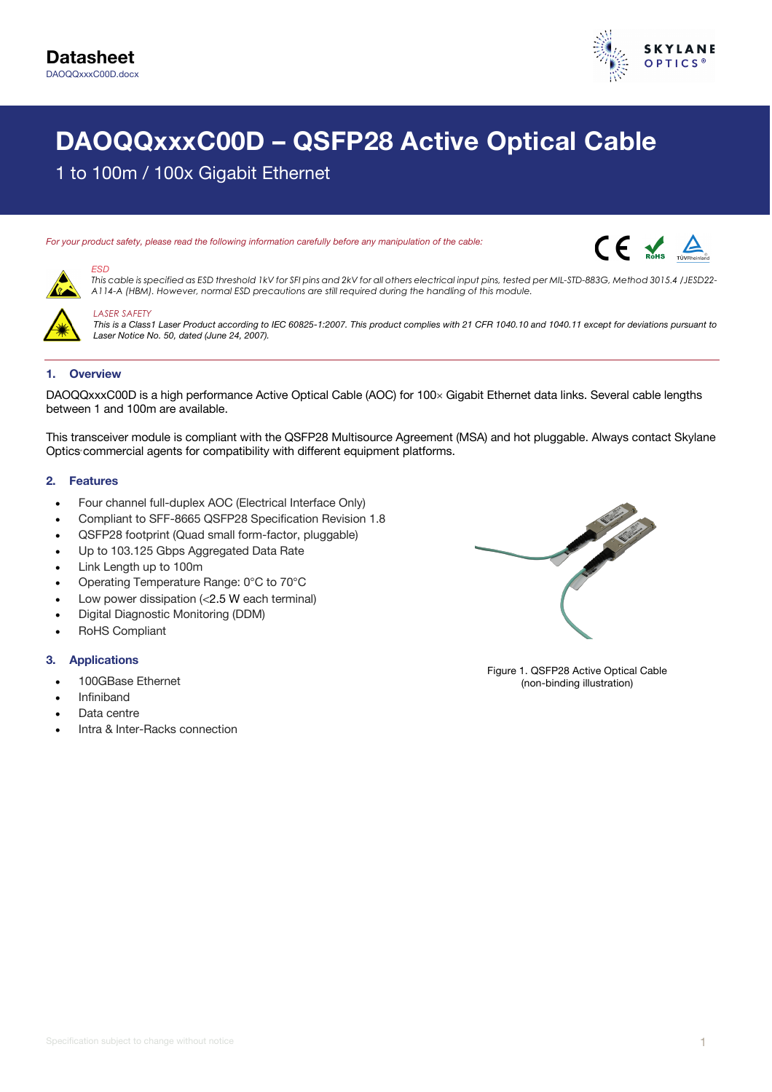

# **DAOQQxxxC00D – QSFP28 Active Optical Cable**

1 to 100m / 100x Gigabit Ethernet

*For your product safety, please read the following information carefully before any manipulation of the cable:*





# *A114-A (HBM). However, normal ESD precautions are still required during the handling of this module.*

*ESD*

*LASER SAFETY This is a Class1 Laser Product according to IEC 60825-1:2007. This product complies with 21 CFR 1040.10 and 1040.11 except for deviations pursuant to Laser Notice No. 50, dated (June 24, 2007).*

*This cable is specified as ESD threshold 1kV for SFI pins and 2kV for all others electrical input pins, tested per MIL-STD-883G, Method 3015.4 /JESD22-*

#### **1. Overview**

DAOQQxxxC00D is a high performance Active Optical Cable (AOC) for 100x Gigabit Ethernet data links. Several cable lengths between 1 and 100m are available.

This transceiver module is compliant with the QSFP28 Multisource Agreement (MSA) and hot pluggable. Always contact Skylane Optics commercial agents for compatibility with different equipment platforms.

#### **2. Features**

- Four channel full-duplex AOC (Electrical Interface Only)
- Compliant to SFF-8665 QSFP28 Specification Revision 1.8
- QSFP28 footprint (Quad small form-factor, pluggable)
- Up to 103.125 Gbps Aggregated Data Rate
- Link Length up to 100m
- Operating Temperature Range: 0°C to 70°C
- Low power dissipation (<2.5 W each terminal)
- Digital Diagnostic Monitoring (DDM)
- RoHS Compliant

#### **3. Applications**

- 100GBase Ethernet
- Infiniband
- Data centre
- Intra & Inter-Racks connection



Figure 1. QSFP28 Active Optical Cable (non-binding illustration)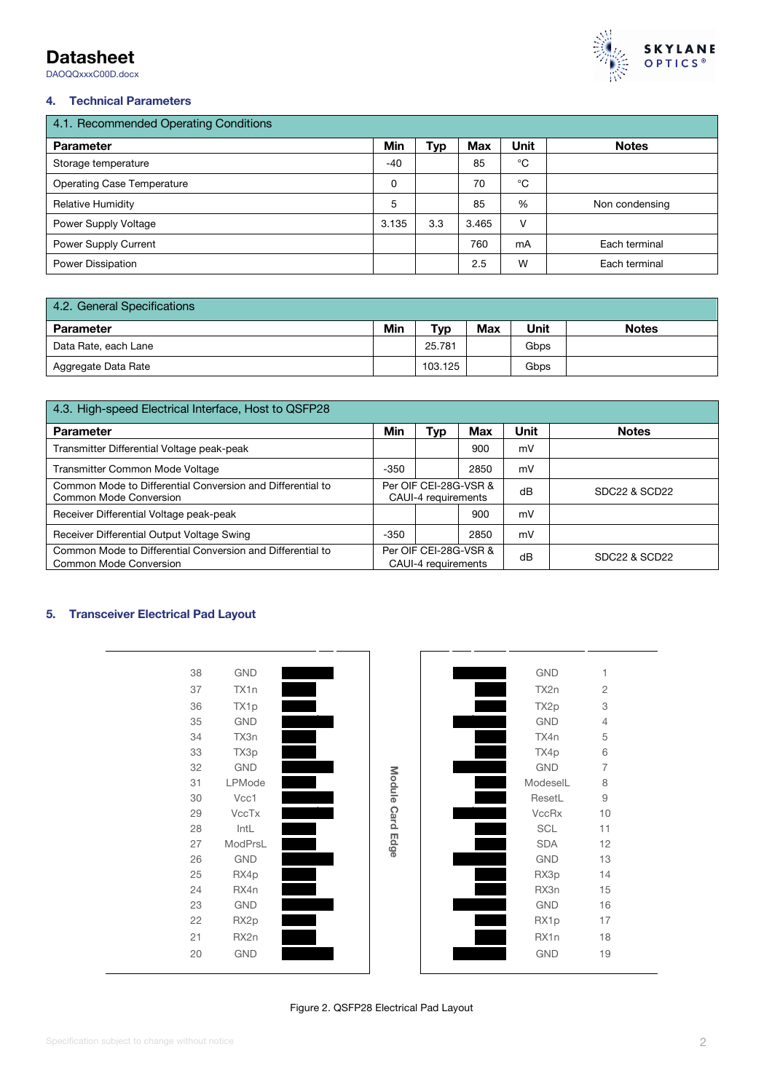DAOQQxxxC00D.docx



### **4. Technical Parameters**

| 4.1. Recommended Operating Conditions |       |     |            |             |                |
|---------------------------------------|-------|-----|------------|-------------|----------------|
| <b>Parameter</b>                      | Min   | Typ | <b>Max</b> | <b>Unit</b> | <b>Notes</b>   |
| Storage temperature                   | $-40$ |     | 85         | °C          |                |
| <b>Operating Case Temperature</b>     | 0     |     | 70         | °C          |                |
| <b>Relative Humidity</b>              | 5     |     | 85         | %           | Non condensing |
| Power Supply Voltage                  | 3.135 | 3.3 | 3.465      | v           |                |
| Power Supply Current                  |       |     | 760        | mA          | Each terminal  |
| Power Dissipation                     |       |     | 2.5        | W           | Each terminal  |

| 4.2. General Specifications |     |         |            |      |              |
|-----------------------------|-----|---------|------------|------|--------------|
| <b>Parameter</b>            | Min | Typ     | <b>Max</b> | Unit | <b>Notes</b> |
| Data Rate, each Lane        |     | 25.781  |            | Gbps |              |
| Aggregate Data Rate         |     | 103.125 |            | Gbps |              |

| 4.3. High-speed Electrical Interface, Host to QSFP28                                 |                                              |     |            |               |              |
|--------------------------------------------------------------------------------------|----------------------------------------------|-----|------------|---------------|--------------|
| <b>Parameter</b>                                                                     |                                              | Typ | <b>Max</b> | Unit          | <b>Notes</b> |
| Transmitter Differential Voltage peak-peak                                           |                                              |     | 900        | mV            |              |
| Transmitter Common Mode Voltage                                                      | $-350$                                       |     | 2850       | mV            |              |
| Common Mode to Differential Conversion and Differential to<br>Common Mode Conversion | Per OIF CEI-28G-VSR &<br>CAUI-4 requirements |     | dB         | SDC22 & SCD22 |              |
| Receiver Differential Voltage peak-peak                                              |                                              |     | 900        | mV            |              |
| Receiver Differential Output Voltage Swing                                           |                                              |     | 2850       | mV            |              |
| Common Mode to Differential Conversion and Differential to<br>Common Mode Conversion | Per OIF CEI-28G-VSR &<br>CAUI-4 requirements |     | dB         | SDC22 & SCD22 |              |

### **5. Transceiver Electrical Pad Layout**





Figure 2. QSFP28 Electrical Pad Layout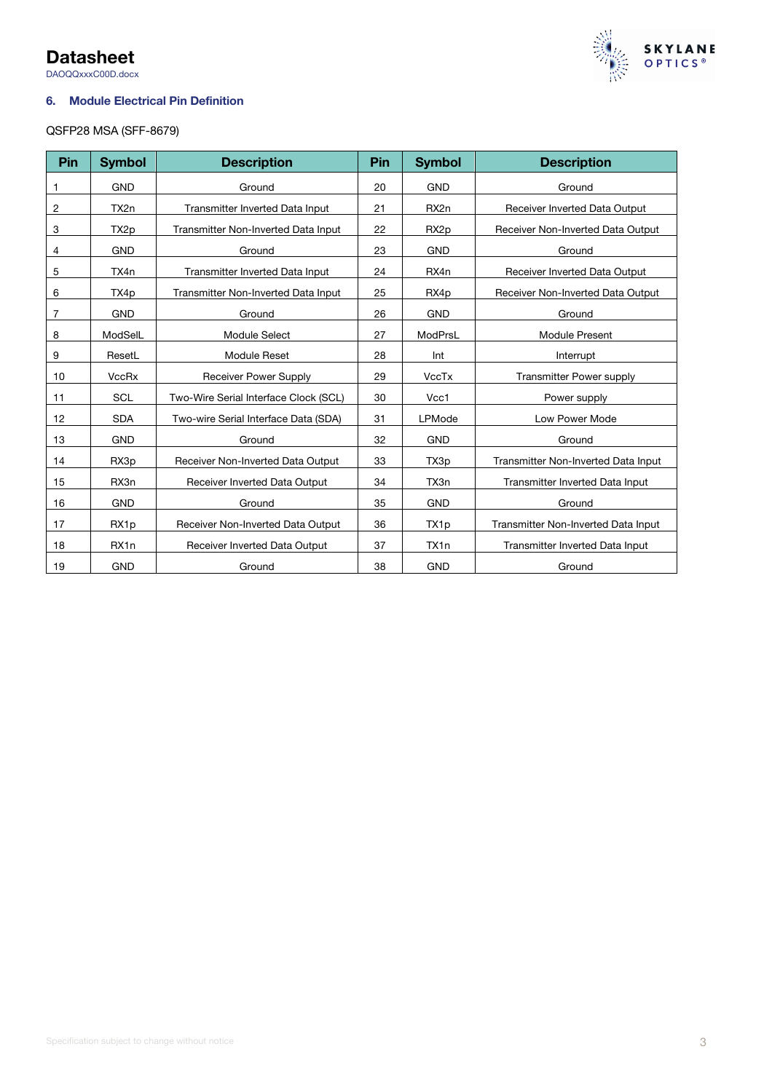DAOQQxxxC00D.docx

### **6. Module Electrical Pin Definition**

QSFP28 MSA (SFF-8679)

| Pin            | <b>Symbol</b>    | <b>Description</b>                    | Pin | <b>Symbol</b>    | <b>Description</b>                  |
|----------------|------------------|---------------------------------------|-----|------------------|-------------------------------------|
| 1              | <b>GND</b>       | Ground                                | 20  | <b>GND</b>       | Ground                              |
| 2              | TX <sub>2n</sub> | Transmitter Inverted Data Input       | 21  | RX <sub>2n</sub> | Receiver Inverted Data Output       |
| 3              | TX <sub>2p</sub> | Transmitter Non-Inverted Data Input   | 22  | RX <sub>2p</sub> | Receiver Non-Inverted Data Output   |
| 4              | <b>GND</b>       | Ground                                | 23  | <b>GND</b>       | Ground                              |
| 5              | TX4n             | Transmitter Inverted Data Input       | 24  | RX4n             | Receiver Inverted Data Output       |
| 6              | TX4p             | Transmitter Non-Inverted Data Input   | 25  | RX4p             | Receiver Non-Inverted Data Output   |
| $\overline{7}$ | <b>GND</b>       | Ground                                | 26  | <b>GND</b>       | Ground                              |
| 8              | ModSelL          | <b>Module Select</b>                  | 27  | ModPrsL          | <b>Module Present</b>               |
| 9              | ResetL           | Module Reset                          | 28  | Int              | Interrupt                           |
| 10             | <b>VccRx</b>     | <b>Receiver Power Supply</b>          | 29  | <b>VccTx</b>     | <b>Transmitter Power supply</b>     |
| 11             | <b>SCL</b>       | Two-Wire Serial Interface Clock (SCL) | 30  | Vcc1             | Power supply                        |
| 12             | <b>SDA</b>       | Two-wire Serial Interface Data (SDA)  | 31  | LPMode           | Low Power Mode                      |
| 13             | <b>GND</b>       | Ground                                | 32  | <b>GND</b>       | Ground                              |
| 14             | RX3p             | Receiver Non-Inverted Data Output     | 33  | TX3p             | Transmitter Non-Inverted Data Input |
| 15             | RX3n             | Receiver Inverted Data Output         | 34  | TX3n             | Transmitter Inverted Data Input     |
| 16             | <b>GND</b>       | Ground                                | 35  | <b>GND</b>       | Ground                              |
| 17             | RX1p             | Receiver Non-Inverted Data Output     | 36  | TX1p             | Transmitter Non-Inverted Data Input |
| 18             | RX1n             | Receiver Inverted Data Output         | 37  | TX1n             | Transmitter Inverted Data Input     |
| 19             | <b>GND</b>       | Ground                                | 38  | <b>GND</b>       | Ground                              |

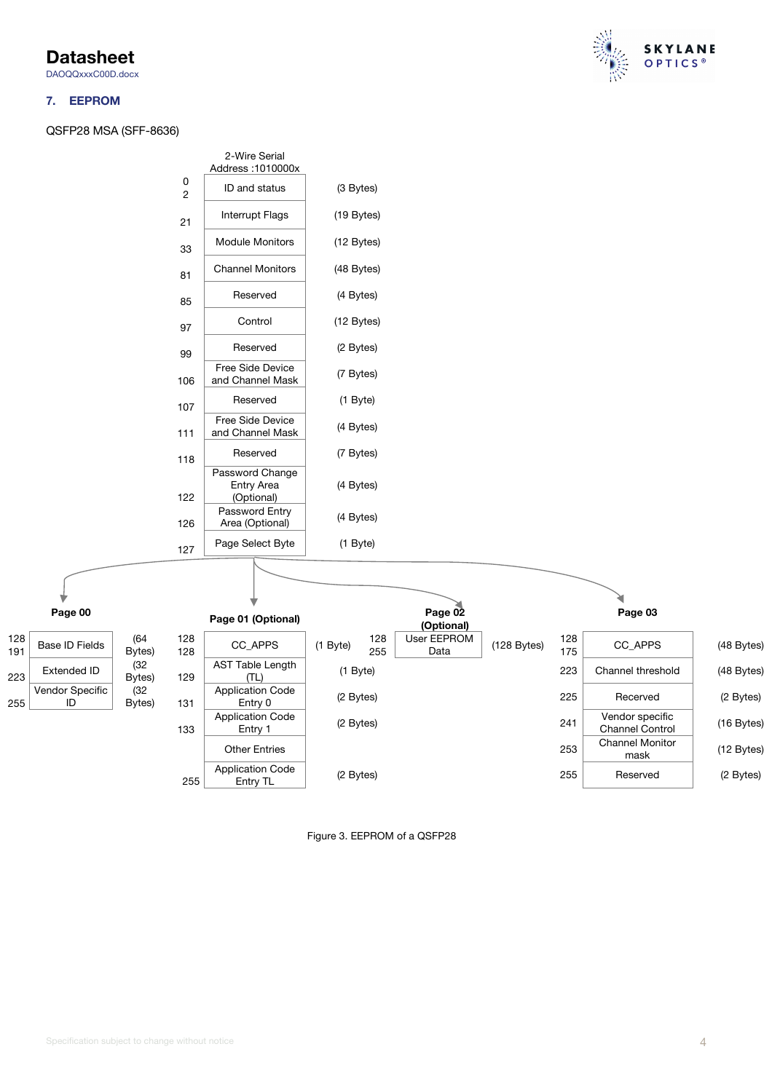DAOQQxxxC00D.docx

#### **7. EEPROM**

#### QSFP28 MSA (SFF-8636)







Figure 3. EEPROM of a QSFP28